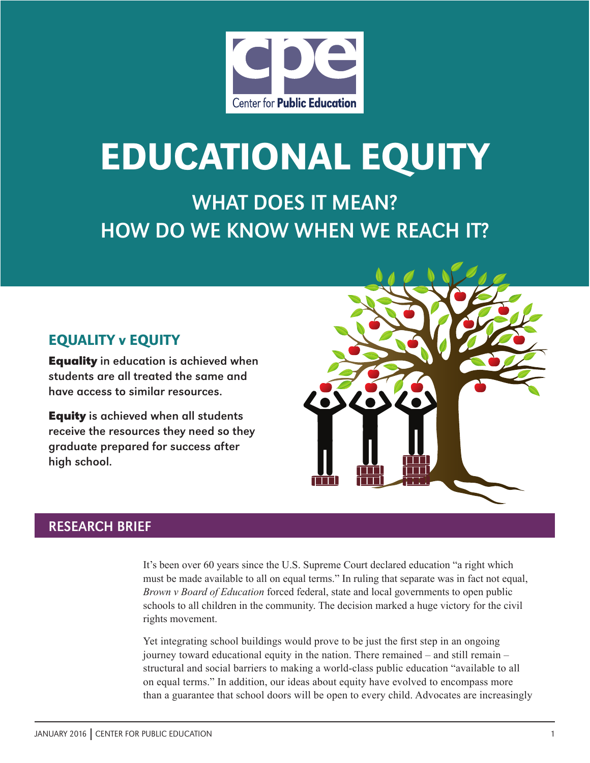

# Educational Equity

WHAT DOES IT MEAN? HOW DO WE KNOW WHEN WE REACH IT?

# Equality v Equity

**Equality** in education is achieved when students are all treated the same and have access to similar resources.

**Equity** is achieved when all students receive the resources they need so they graduate prepared for success after high school.

# RESEARCH BRIEF

It's been over 60 years since the U.S. Supreme Court declared education "a right which must be made available to all on equal terms." In ruling that separate was in fact not equal, *Brown v Board of Education* forced federal, state and local governments to open public schools to all children in the community. The decision marked a huge victory for the civil rights movement.

Yet integrating school buildings would prove to be just the first step in an ongoing journey toward educational equity in the nation. There remained – and still remain – structural and social barriers to making a world-class public education "available to all on equal terms." In addition, our ideas about equity have evolved to encompass more than a guarantee that school doors will be open to every child. Advocates are increasingly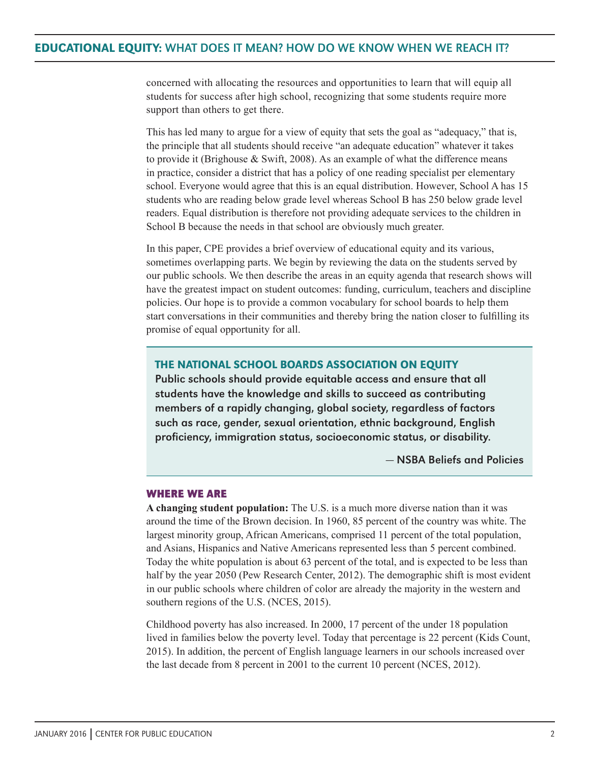concerned with allocating the resources and opportunities to learn that will equip all students for success after high school, recognizing that some students require more support than others to get there.

This has led many to argue for a view of equity that sets the goal as "adequacy," that is, the principle that all students should receive "an adequate education" whatever it takes to provide it (Brighouse & Swift, 2008). As an example of what the difference means in practice, consider a district that has a policy of one reading specialist per elementary school. Everyone would agree that this is an equal distribution. However, School A has 15 students who are reading below grade level whereas School B has 250 below grade level readers. Equal distribution is therefore not providing adequate services to the children in School B because the needs in that school are obviously much greater.

In this paper, CPE provides a brief overview of educational equity and its various, sometimes overlapping parts. We begin by reviewing the data on the students served by our public schools. We then describe the areas in an equity agenda that research shows will have the greatest impact on student outcomes: funding, curriculum, teachers and discipline policies. Our hope is to provide a common vocabulary for school boards to help them start conversations in their communities and thereby bring the nation closer to fulfilling its promise of equal opportunity for all.

#### The National School Boards Association on Equity

Public schools should provide equitable access and ensure that all students have the knowledge and skills to succeed as contributing members of a rapidly changing, global society, regardless of factors such as race, gender, sexual orientation, ethnic background, English proficiency, immigration status, socioeconomic status, or disability.

— NSBA Beliefs and Policies

#### **Where we are**

**A changing student population:** The U.S. is a much more diverse nation than it was around the time of the Brown decision. In 1960, 85 percent of the country was white. The largest minority group, African Americans, comprised 11 percent of the total population, and Asians, Hispanics and Native Americans represented less than 5 percent combined. Today the white population is about 63 percent of the total, and is expected to be less than half by the year 2050 (Pew Research Center, 2012). The demographic shift is most evident in our public schools where children of color are already the majority in the western and southern regions of the U.S. (NCES, 2015).

Childhood poverty has also increased. In 2000, 17 percent of the under 18 population lived in families below the poverty level. Today that percentage is 22 percent (Kids Count, 2015). In addition, the percent of English language learners in our schools increased over the last decade from 8 percent in 2001 to the current 10 percent (NCES, 2012).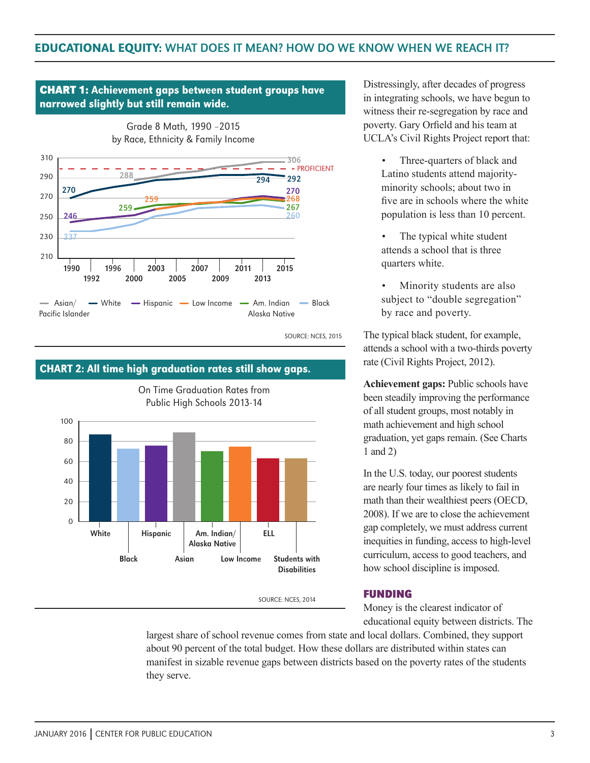#### 1990 1992 1996 2000 2003 2005 2007 2009 2011 2013 2015 - PROFICIENT 270 Grade 8 Math, 1990 –2015 by Race, Ethnicity & Family Income 210 230  $250$ 270 290 310  $\longrightarrow$  Asian/  $\longrightarrow$  White Pacific Islander - Hispanic - Low Income - Am. Indian - Black Alaska Native 237 246 259 288 306 259  $292$ 270 268 267 260 narrowed slightly but still remain wide.

**CHART 1:** Achievement gaps between student groups have

SOURCE: NCES, 2015



CHART 2: All time high graduation rates still show gaps.

Distressingly, after decades of progress in integrating schools, we have begun to witness their re-segregation by race and poverty. Gary Orfield and his team at UCLA's Civil Rights Project report that:

- Three-quarters of black and Latino students attend majorityminority schools; about two in five are in schools where the white population is less than 10 percent.
- The typical white student attends a school that is three quarters white.
- Minority students are also subject to "double segregation" by race and poverty.

The typical black student, for example, attends a school with a two-thirds poverty rate (Civil Rights Project, 2012).

**Achievement gaps:** Public schools have been steadily improving the performance of all student groups, most notably in math achievement and high school graduation, yet gaps remain. (See Charts 1 and 2)

In the U.S. today, our poorest students are nearly four times as likely to fail in math than their wealthiest peers (OECD, 2008). If we are to close the achievement gap completely, we must address current inequities in funding, access to high-level curriculum, access to good teachers, and how school discipline is imposed.

SOURCE: NCES, 2014

### **Funding**

Money is the clearest indicator of educational equity between districts. The

largest share of school revenue comes from state and local dollars. Combined, they support about 90 percent of the total budget. How these dollars are distributed within states can manifest in sizable revenue gaps between districts based on the poverty rates of the students they serve.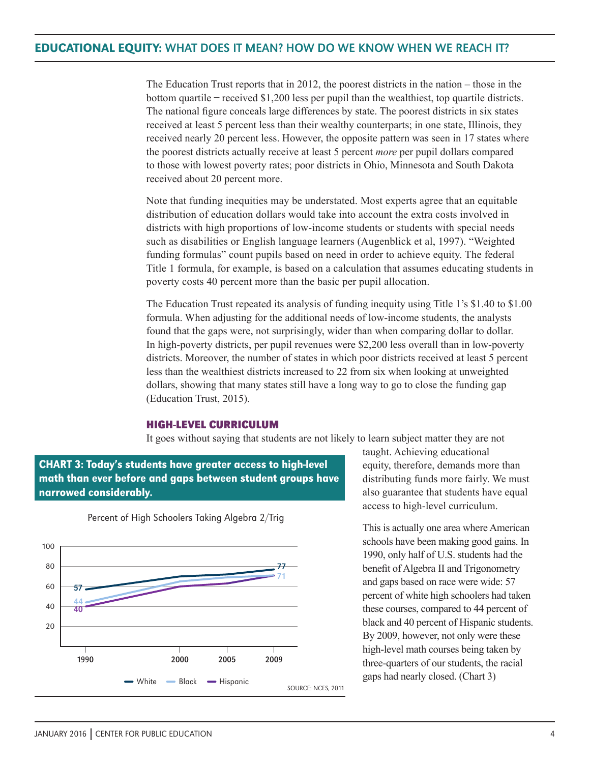The Education Trust reports that in 2012, the poorest districts in the nation – those in the bottom quartile ̶ received \$1,200 less per pupil than the wealthiest, top quartile districts. The national figure conceals large differences by state. The poorest districts in six states received at least 5 percent less than their wealthy counterparts; in one state, Illinois, they received nearly 20 percent less. However, the opposite pattern was seen in 17 states where the poorest districts actually receive at least 5 percent *more* per pupil dollars compared to those with lowest poverty rates; poor districts in Ohio, Minnesota and South Dakota received about 20 percent more.

Note that funding inequities may be understated. Most experts agree that an equitable distribution of education dollars would take into account the extra costs involved in districts with high proportions of low-income students or students with special needs such as disabilities or English language learners (Augenblick et al, 1997). "Weighted funding formulas" count pupils based on need in order to achieve equity. The federal Title 1 formula, for example, is based on a calculation that assumes educating students in poverty costs 40 percent more than the basic per pupil allocation.

The Education Trust repeated its analysis of funding inequity using Title 1's \$1.40 to \$1.00 formula. When adjusting for the additional needs of low-income students, the analysts found that the gaps were, not surprisingly, wider than when comparing dollar to dollar. In high-poverty districts, per pupil revenues were \$2,200 less overall than in low-poverty districts. Moreover, the number of states in which poor districts received at least 5 percent less than the wealthiest districts increased to 22 from six when looking at unweighted dollars, showing that many states still have a long way to go to close the funding gap (Education Trust, 2015).

#### **High-level curriculum**

It goes without saying that students are not likely to learn subject matter they are not





Percent of High Schoolers Taking Algebra 2/Trig

taught. Achieving educational equity, therefore, demands more than distributing funds more fairly. We must also guarantee that students have equal access to high-level curriculum.

This is actually one area where American schools have been making good gains. In 1990, only half of U.S. students had the benefit of Algebra II and Trigonometry and gaps based on race were wide: 57 percent of white high schoolers had taken these courses, compared to 44 percent of black and 40 percent of Hispanic students. By 2009, however, not only were these high-level math courses being taken by three-quarters of our students, the racial gaps had nearly closed. (Chart 3)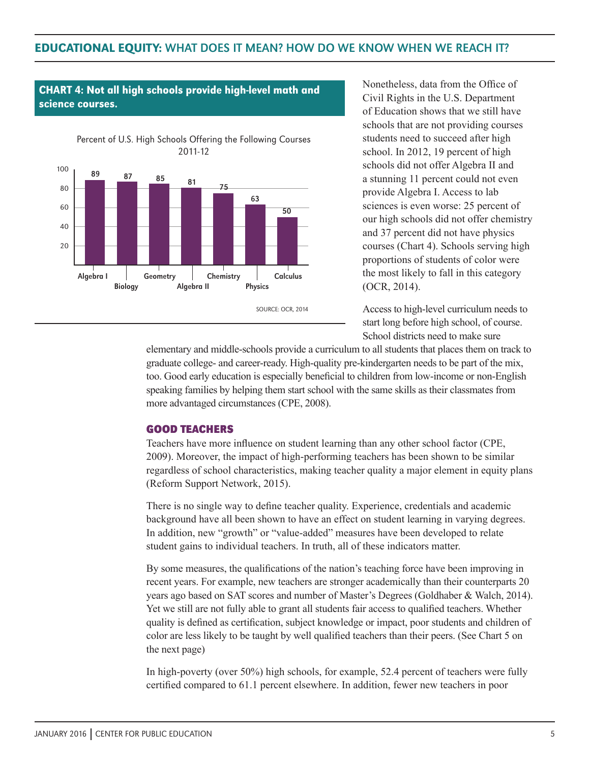

CHART 4: Not all high schools provide high-level math and

science courses.

Nonetheless, data from the Office of Civil Rights in the U.S. Department of Education shows that we still have schools that are not providing courses students need to succeed after high school. In 2012, 19 percent of high schools did not offer Algebra II and a stunning 11 percent could not even provide Algebra I. Access to lab sciences is even worse: 25 percent of our high schools did not offer chemistry and 37 percent did not have physics courses (Chart 4). Schools serving high proportions of students of color were the most likely to fall in this category (OCR, 2014).

Access to high-level curriculum needs to start long before high school, of course. School districts need to make sure

elementary and middle-schools provide a curriculum to all students that places them on track to graduate college- and career-ready. High-quality pre-kindergarten needs to be part of the mix, too. Good early education is especially beneficial to children from low-income or non-English speaking families by helping them start school with the same skills as their classmates from more advantaged circumstances (CPE, 2008).

#### **Good teachers**

Teachers have more influence on student learning than any other school factor (CPE, 2009). Moreover, the impact of high-performing teachers has been shown to be similar regardless of school characteristics, making teacher quality a major element in equity plans (Reform Support Network, 2015).

There is no single way to define teacher quality. Experience, credentials and academic background have all been shown to have an effect on student learning in varying degrees. In addition, new "growth" or "value-added" measures have been developed to relate student gains to individual teachers. In truth, all of these indicators matter.

By some measures, the qualifications of the nation's teaching force have been improving in recent years. For example, new teachers are stronger academically than their counterparts 20 years ago based on SAT scores and number of Master's Degrees (Goldhaber & Walch, 2014). Yet we still are not fully able to grant all students fair access to qualified teachers. Whether quality is defined as certification, subject knowledge or impact, poor students and children of color are less likely to be taught by well qualified teachers than their peers. (See Chart 5 on the next page)

In high-poverty (over 50%) high schools, for example, 52.4 percent of teachers were fully certified compared to 61.1 percent elsewhere. In addition, fewer new teachers in poor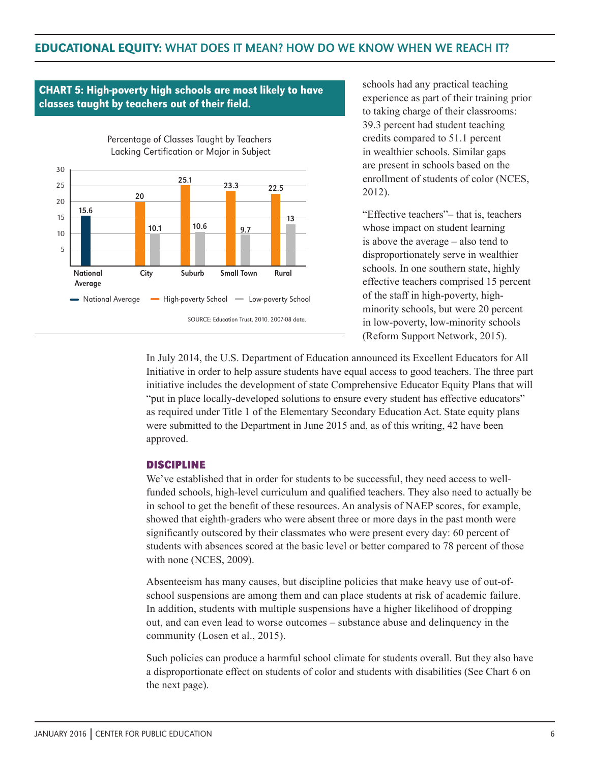# CHART 5: High-poverty high schools are most likely to have classes taught by teachers out of their field.



schools had any practical teaching experience as part of their training prior to taking charge of their classrooms: 39.3 percent had student teaching credits compared to 51.1 percent in wealthier schools. Similar gaps are present in schools based on the enrollment of students of color (NCES, 2012).

"Effective teachers"– that is, teachers whose impact on student learning is above the average – also tend to disproportionately serve in wealthier schools. In one southern state, highly effective teachers comprised 15 percent of the staff in high-poverty, highminority schools, but were 20 percent in low-poverty, low-minority schools (Reform Support Network, 2015).

In July 2014, the U.S. Department of Education announced its Excellent Educators for All Initiative in order to help assure students have equal access to good teachers. The three part initiative includes the development of state Comprehensive Educator Equity Plans that will "put in place locally-developed solutions to ensure every student has effective educators" as required under Title 1 of the Elementary Secondary Education Act. State equity plans were submitted to the Department in June 2015 and, as of this writing, 42 have been approved.

#### **Discipline**

We've established that in order for students to be successful, they need access to wellfunded schools, high-level curriculum and qualified teachers. They also need to actually be in school to get the benefit of these resources. An analysis of NAEP scores, for example, showed that eighth-graders who were absent three or more days in the past month were significantly outscored by their classmates who were present every day: 60 percent of students with absences scored at the basic level or better compared to 78 percent of those with none (NCES, 2009).

Absenteeism has many causes, but discipline policies that make heavy use of out-ofschool suspensions are among them and can place students at risk of academic failure. In addition, students with multiple suspensions have a higher likelihood of dropping out, and can even lead to worse outcomes – substance abuse and delinquency in the community (Losen et al., 2015).

Such policies can produce a harmful school climate for students overall. But they also have a disproportionate effect on students of color and students with disabilities (See Chart 6 on the next page).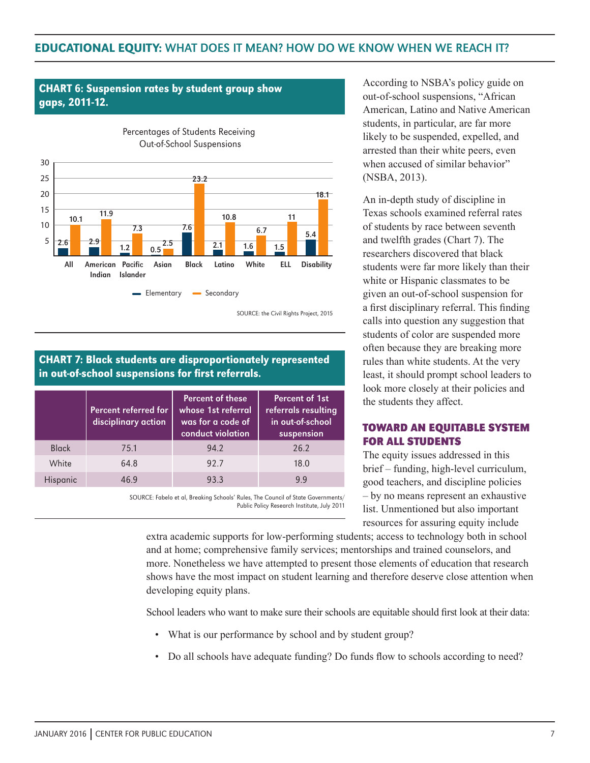# **CHART 6: Suspension rates by student group show** gaps, 2011-12.



## CHART 7: Black students are disproportionately represented in out-of-school suspensions for first referrals.

|              | Percent referred for<br>disciplinary action | Percent of these<br>whose 1st referral<br>was for a code of<br>conduct violation | <b>Percent of 1st</b><br>referrals resulting<br>in out-of-school<br>suspension |
|--------------|---------------------------------------------|----------------------------------------------------------------------------------|--------------------------------------------------------------------------------|
| <b>Black</b> | 75.1                                        | 94.2                                                                             | 26.2                                                                           |
| White        | 64.8                                        | 92.7                                                                             | 18.0                                                                           |
| Hispanic     | 46 ዓ                                        | 93.3                                                                             | 99                                                                             |

SOURCE: Fabelo et al, Breaking Schools' Rules, The Council of State Governments/ Public Policy Research Institute, July 2011 According to NSBA's policy guide on out-of-school suspensions, "African American, Latino and Native American students, in particular, are far more likely to be suspended, expelled, and arrested than their white peers, even when accused of similar behavior" (NSBA, 2013).

An in-depth study of discipline in Texas schools examined referral rates of students by race between seventh and twelfth grades (Chart 7). The researchers discovered that black students were far more likely than their white or Hispanic classmates to be given an out-of-school suspension for a first disciplinary referral. This finding calls into question any suggestion that students of color are suspended more often because they are breaking more rules than white students. At the very least, it should prompt school leaders to look more closely at their policies and the students they affect.

## **Toward an equitable system for all students**

The equity issues addressed in this brief – funding, high-level curriculum, good teachers, and discipline policies – by no means represent an exhaustive list. Unmentioned but also important resources for assuring equity include

extra academic supports for low-performing students; access to technology both in school and at home; comprehensive family services; mentorships and trained counselors, and more. Nonetheless we have attempted to present those elements of education that research shows have the most impact on student learning and therefore deserve close attention when developing equity plans.

School leaders who want to make sure their schools are equitable should first look at their data:

- What is our performance by school and by student group?
- Do all schools have adequate funding? Do funds flow to schools according to need?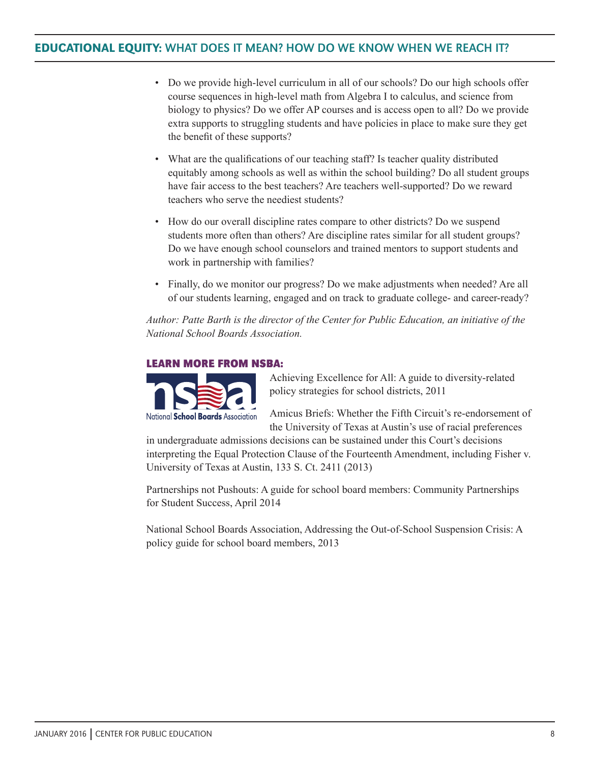- Do we provide high-level curriculum in all of our schools? Do our high schools offer course sequences in high-level math from Algebra I to calculus, and science from biology to physics? Do we offer AP courses and is access open to all? Do we provide extra supports to struggling students and have policies in place to make sure they get the benefit of these supports?
- What are the qualifications of our teaching staff? Is teacher quality distributed equitably among schools as well as within the school building? Do all student groups have fair access to the best teachers? Are teachers well-supported? Do we reward teachers who serve the neediest students?
- How do our overall discipline rates compare to other districts? Do we suspend students more often than others? Are discipline rates similar for all student groups? Do we have enough school counselors and trained mentors to support students and work in partnership with families?
- Finally, do we monitor our progress? Do we make adjustments when needed? Are all of our students learning, engaged and on track to graduate college- and career-ready?

*Author: Patte Barth is the director of the Center for Public Education, an initiative of the National School Boards Association.* 

#### **Learn more from NSBA:**



Achieving Excellence for All: A guide to diversity-related policy strategies for school districts, 2011

Amicus Briefs: Whether the Fifth Circuit's re-endorsement of the University of Texas at Austin's use of racial preferences

in undergraduate admissions decisions can be sustained under this Court's decisions interpreting the Equal Protection Clause of the Fourteenth Amendment, including Fisher v. University of Texas at Austin, 133 S. Ct. 2411 (2013)

Partnerships not Pushouts: A guide for school board members: Community Partnerships for Student Success, April 2014

National School Boards Association, Addressing the Out-of-School Suspension Crisis: A policy guide for school board members, 2013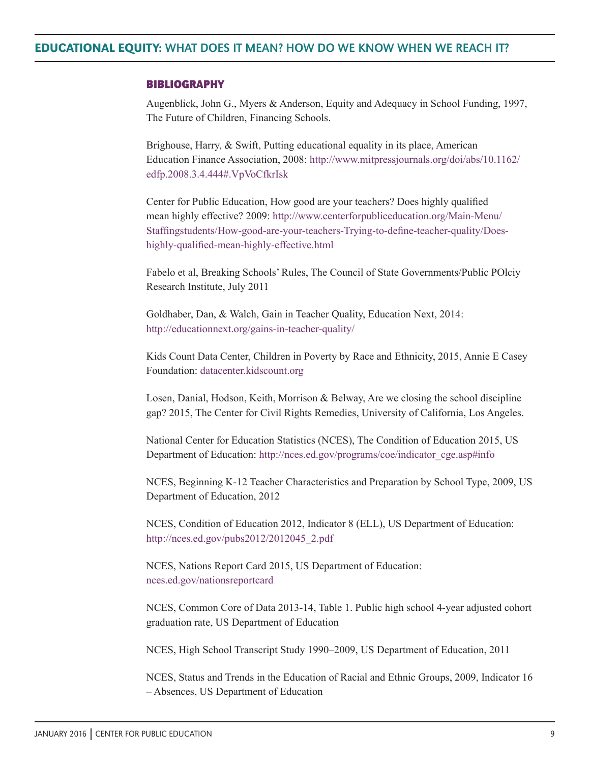#### **Bibliography**

Augenblick, John G., Myers & Anderson, Equity and Adequacy in School Funding, 1997, The Future of Children, Financing Schools.

Brighouse, Harry, & Swift, Putting educational equality in its place, American Education Finance Association, 2008: http://www.mitpressjournals.org/doi/abs/10.1162/ edfp.2008.3.4.444#.VpVoCfkrIsk

Center for Public Education, How good are your teachers? Does highly qualified mean highly effective? 2009: http://www.centerforpubliceducation.org/Main-Menu/ Staffingstudents/How-good-are-your-teachers-Trying-to-define-teacher-quality/Doeshighly-qualified-mean-highly-effective.html

Fabelo et al, Breaking Schools' Rules, The Council of State Governments/Public POlciy Research Institute, July 2011

Goldhaber, Dan, & Walch, Gain in Teacher Quality, Education Next, 2014: http://educationnext.org/gains-in-teacher-quality/

Kids Count Data Center, Children in Poverty by Race and Ethnicity, 2015, Annie E Casey Foundation: datacenter.kidscount.org

Losen, Danial, Hodson, Keith, Morrison & Belway, Are we closing the school discipline gap? 2015, The Center for Civil Rights Remedies, University of California, Los Angeles.

National Center for Education Statistics (NCES), The Condition of Education 2015, US Department of Education: http://nces.ed.gov/programs/coe/indicator\_cge.asp#info

NCES, Beginning K-12 Teacher Characteristics and Preparation by School Type, 2009, US Department of Education, 2012

NCES, Condition of Education 2012, Indicator 8 (ELL), US Department of Education: http://nces.ed.gov/pubs2012/2012045\_2.pdf

NCES, Nations Report Card 2015, US Department of Education: nces.ed.gov/nationsreportcard

NCES, Common Core of Data 2013-14, Table 1. Public high school 4-year adjusted cohort graduation rate, US Department of Education

NCES, High School Transcript Study 1990–2009, US Department of Education, 2011

NCES, Status and Trends in the Education of Racial and Ethnic Groups, 2009, Indicator 16 – Absences, US Department of Education